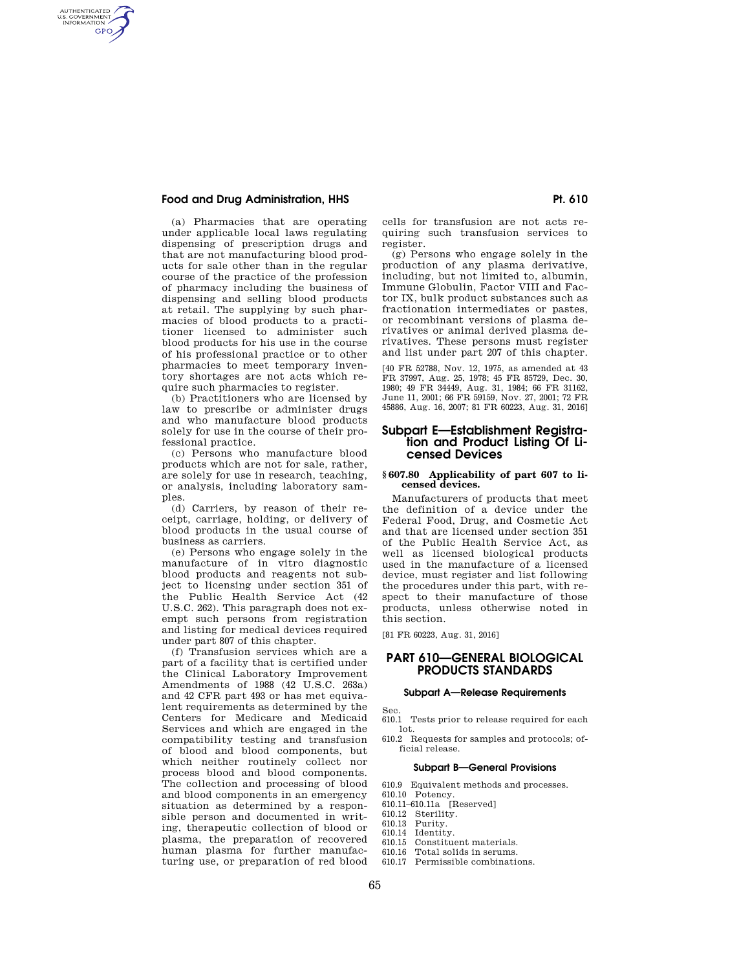AUTHENTICATED<br>U.S. GOVERNMENT<br>INFORMATION **GPO** 

> (a) Pharmacies that are operating under applicable local laws regulating dispensing of prescription drugs and that are not manufacturing blood products for sale other than in the regular course of the practice of the profession of pharmacy including the business of dispensing and selling blood products at retail. The supplying by such pharmacies of blood products to a practitioner licensed to administer such blood products for his use in the course of his professional practice or to other pharmacies to meet temporary inventory shortages are not acts which require such pharmacies to register.

> (b) Practitioners who are licensed by law to prescribe or administer drugs and who manufacture blood products solely for use in the course of their professional practice.

> (c) Persons who manufacture blood products which are not for sale, rather, are solely for use in research, teaching, or analysis, including laboratory samples.

> (d) Carriers, by reason of their receipt, carriage, holding, or delivery of blood products in the usual course of business as carriers.

> (e) Persons who engage solely in the manufacture of in vitro diagnostic blood products and reagents not subject to licensing under section 351 of the Public Health Service Act (42 U.S.C. 262). This paragraph does not exempt such persons from registration and listing for medical devices required under part 807 of this chapter.

> (f) Transfusion services which are a part of a facility that is certified under the Clinical Laboratory Improvement Amendments of 1988 (42 U.S.C. 263a) and 42 CFR part 493 or has met equivalent requirements as determined by the Centers for Medicare and Medicaid Services and which are engaged in the compatibility testing and transfusion of blood and blood components, but which neither routinely collect nor process blood and blood components. The collection and processing of blood and blood components in an emergency situation as determined by a responsible person and documented in writing, therapeutic collection of blood or plasma, the preparation of recovered human plasma for further manufacturing use, or preparation of red blood

cells for transfusion are not acts requiring such transfusion services to register.

(g) Persons who engage solely in the production of any plasma derivative, including, but not limited to, albumin, Immune Globulin, Factor VIII and Factor IX, bulk product substances such as fractionation intermediates or pastes, or recombinant versions of plasma derivatives or animal derived plasma derivatives. These persons must register and list under part 207 of this chapter.

[40 FR 52788, Nov. 12, 1975, as amended at 43 FR 37997, Aug. 25, 1978; 45 FR 85729, Dec. 30, 1980; 49 FR 34449, Aug. 31, 1984; 66 FR 31162, June 11, 2001; 66 FR 59159, Nov. 27, 2001; 72 FR 45886, Aug. 16, 2007; 81 FR 60223, Aug. 31, 2016]

# **Subpart E—Establishment Registration and Product Listing Of Licensed Devices**

### **§ 607.80 Applicability of part 607 to licensed devices.**

Manufacturers of products that meet the definition of a device under the Federal Food, Drug, and Cosmetic Act and that are licensed under section 351 of the Public Health Service Act, as well as licensed biological products used in the manufacture of a licensed device, must register and list following the procedures under this part, with respect to their manufacture of those products, unless otherwise noted in this section.

[81 FR 60223, Aug. 31, 2016]

# **PART 610—GENERAL BIOLOGICAL PRODUCTS STANDARDS**

### **Subpart A—Release Requirements**

Sec.

- 610.1 Tests prior to release required for each lot.
- 610.2 Requests for samples and protocols; official release.

### **Subpart B—General Provisions**

- 610.9 Equivalent methods and processes.
- 610.10 Potency.
- 610.11–610.11a [Reserved]
- 610.12 Sterility.
- 610.13 Purity.
- 610.14 Identity.
- 610.15 Constituent materials.
- 610.16 Total solids in serums.
- 610.17 Permissible combinations.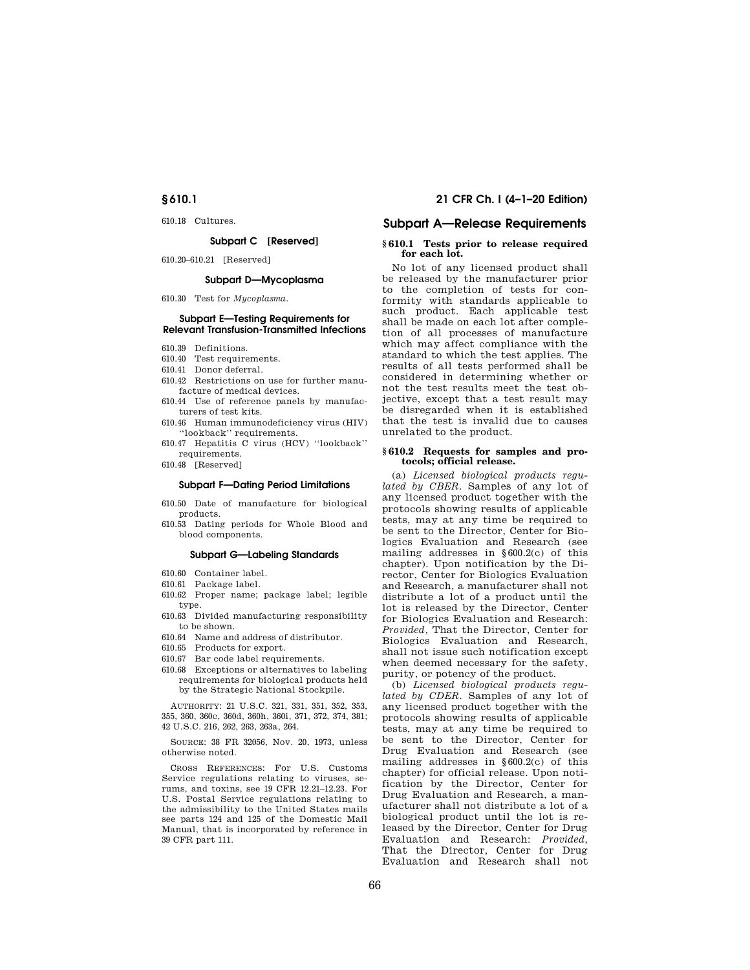610.18 Cultures.

### **Subpart C [Reserved]**

610.20–610.21 [Reserved]

### **Subpart D—Mycoplasma**

610.30 Test for *Mycoplasma.* 

### **Subpart E—Testing Requirements for Relevant Transfusion-Transmitted Infections**

- 610.39 Definitions.
- 610.40 Test requirements.
- 610.41 Donor deferral.
- 610.42 Restrictions on use for further manufacture of medical devices.
- 610.44 Use of reference panels by manufacturers of test kits.
- 610.46 Human immunodeficiency virus (HIV) ''lookback'' requirements.
- 610.47 Hepatitis C virus (HCV) ''lookback'' requirements.
- 610.48 [Reserved]

### **Subpart F—Dating Period Limitations**

- 610.50 Date of manufacture for biological products.
- 610.53 Dating periods for Whole Blood and blood components.

### **Subpart G—Labeling Standards**

- 610.60 Container label.
- 610.61 Package label.
- 610.62 Proper name; package label; legible type.
- 610.63 Divided manufacturing responsibility to be shown.
- 610.64 Name and address of distributor.
- 610.65 Products for export.
- 610.67 Bar code label requirements.
- 610.68 Exceptions or alternatives to labeling requirements for biological products held by the Strategic National Stockpile.

AUTHORITY: 21 U.S.C. 321, 331, 351, 352, 353, 355, 360, 360c, 360d, 360h, 360i, 371, 372, 374, 381; 42 U.S.C. 216, 262, 263, 263a, 264.

SOURCE: 38 FR 32056, Nov. 20, 1973, unless otherwise noted.

CROSS REFERENCES: For U.S. Customs Service regulations relating to viruses, serums, and toxins, see 19 CFR 12.21–12.23. For U.S. Postal Service regulations relating to the admissibility to the United States mails see parts 124 and 125 of the Domestic Mail Manual, that is incorporated by reference in 39 CFR part 111.

# **§ 610.1 21 CFR Ch. I (4–1–20 Edition)**

### **Subpart A—Release Requirements**

### **§ 610.1 Tests prior to release required for each lot.**

No lot of any licensed product shall be released by the manufacturer prior to the completion of tests for conformity with standards applicable to such product. Each applicable test shall be made on each lot after completion of all processes of manufacture which may affect compliance with the standard to which the test applies. The results of all tests performed shall be considered in determining whether or not the test results meet the test objective, except that a test result may be disregarded when it is established that the test is invalid due to causes unrelated to the product.

### **§ 610.2 Requests for samples and protocols; official release.**

(a) *Licensed biological products regulated by CBER.* Samples of any lot of any licensed product together with the protocols showing results of applicable tests, may at any time be required to be sent to the Director, Center for Biologics Evaluation and Research (see mailing addresses in §600.2(c) of this chapter). Upon notification by the Director, Center for Biologics Evaluation and Research, a manufacturer shall not distribute a lot of a product until the lot is released by the Director, Center for Biologics Evaluation and Research: *Provided,* That the Director, Center for Biologics Evaluation and Research, shall not issue such notification except when deemed necessary for the safety, purity, or potency of the product.

(b) *Licensed biological products regulated by CDER.* Samples of any lot of any licensed product together with the protocols showing results of applicable tests, may at any time be required to be sent to the Director, Center for Drug Evaluation and Research (see mailing addresses in §600.2(c) of this chapter) for official release. Upon notification by the Director, Center for Drug Evaluation and Research, a manufacturer shall not distribute a lot of a biological product until the lot is released by the Director, Center for Drug Evaluation and Research: *Provided*, That the Director, Center for Drug Evaluation and Research shall not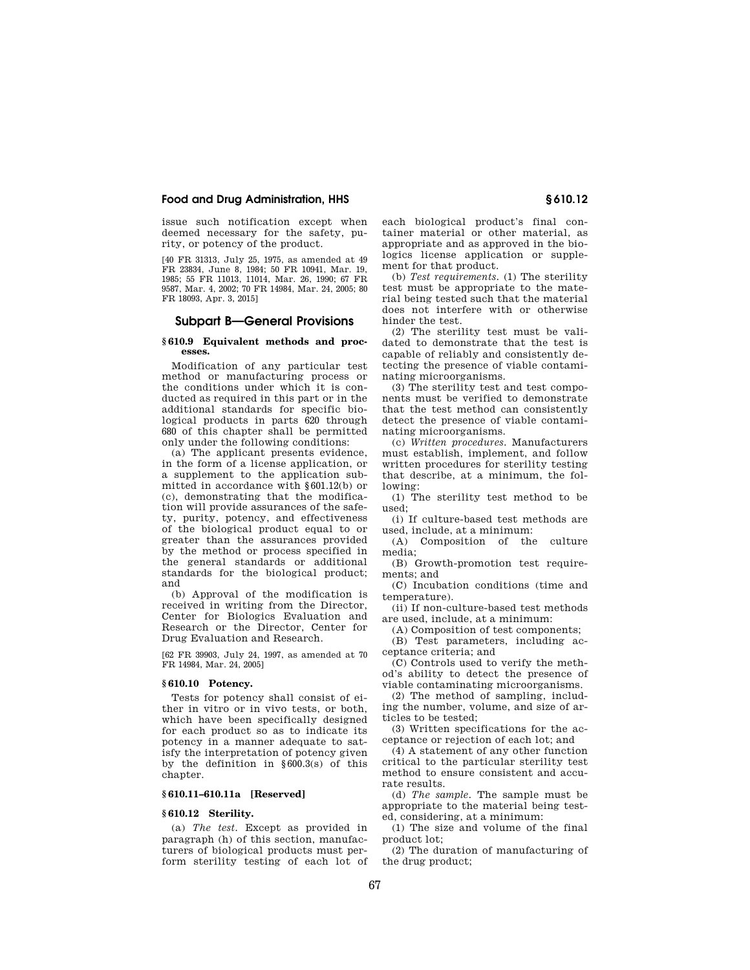issue such notification except when deemed necessary for the safety, purity, or potency of the product.

[40 FR 31313, July 25, 1975, as amended at 49 FR 23834, June 8, 1984; 50 FR 10941, Mar. 19, 1985; 55 FR 11013, 11014, Mar. 26, 1990; 67 FR 9587, Mar. 4, 2002; 70 FR 14984, Mar. 24, 2005; 80 FR 18093, Apr. 3, 2015]

# **Subpart B—General Provisions**

# **§ 610.9 Equivalent methods and proc- esses.**

Modification of any particular test method or manufacturing process or the conditions under which it is conducted as required in this part or in the additional standards for specific biological products in parts 620 through 680 of this chapter shall be permitted only under the following conditions:

(a) The applicant presents evidence, in the form of a license application, or a supplement to the application submitted in accordance with §601.12(b) or (c), demonstrating that the modification will provide assurances of the safety, purity, potency, and effectiveness of the biological product equal to or greater than the assurances provided by the method or process specified in the general standards or additional standards for the biological product; and

(b) Approval of the modification is received in writing from the Director, Center for Biologics Evaluation and Research or the Director, Center for Drug Evaluation and Research.

[62 FR 39903, July 24, 1997, as amended at 70 FR 14984, Mar. 24, 2005]

### **§ 610.10 Potency.**

Tests for potency shall consist of either in vitro or in vivo tests, or both, which have been specifically designed for each product so as to indicate its potency in a manner adequate to satisfy the interpretation of potency given by the definition in §600.3(s) of this chapter.

### **§ 610.11–610.11a [Reserved]**

### **§ 610.12 Sterility.**

(a) *The test.* Except as provided in paragraph (h) of this section, manufacturers of biological products must perform sterility testing of each lot of

each biological product's final container material or other material, as appropriate and as approved in the biologics license application or supplement for that product.

(b) *Test requirements.* (1) The sterility test must be appropriate to the material being tested such that the material does not interfere with or otherwise hinder the test.

(2) The sterility test must be validated to demonstrate that the test is capable of reliably and consistently detecting the presence of viable contaminating microorganisms.

(3) The sterility test and test components must be verified to demonstrate that the test method can consistently detect the presence of viable contaminating microorganisms.

(c) *Written procedures.* Manufacturers must establish, implement, and follow written procedures for sterility testing that describe, at a minimum, the following:

(1) The sterility test method to be used;

(i) If culture-based test methods are used, include, at a minimum:

(A) Composition of the culture media;

(B) Growth-promotion test requirements; and

(C) Incubation conditions (time and temperature).

(ii) If non-culture-based test methods are used, include, at a minimum:

(A) Composition of test components;

(B) Test parameters, including acceptance criteria; and

(C) Controls used to verify the method's ability to detect the presence of viable contaminating microorganisms.

(2) The method of sampling, including the number, volume, and size of articles to be tested;

(3) Written specifications for the acceptance or rejection of each lot; and

(4) A statement of any other function critical to the particular sterility test method to ensure consistent and accurate results.

(d) *The sample.* The sample must be appropriate to the material being tested, considering, at a minimum:

(1) The size and volume of the final product lot;

(2) The duration of manufacturing of the drug product;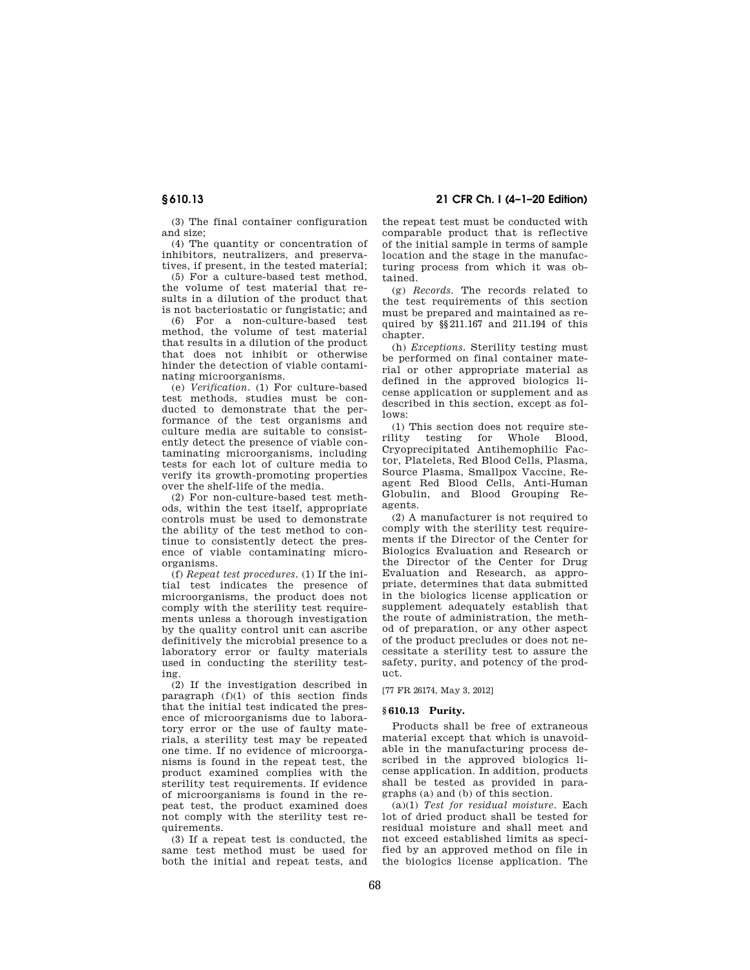(3) The final container configuration

and size; (4) The quantity or concentration of inhibitors, neutralizers, and preservatives, if present, in the tested material;

(5) For a culture-based test method, the volume of test material that results in a dilution of the product that is not bacteriostatic or fungistatic; and

(6) For a non-culture-based test method, the volume of test material that results in a dilution of the product that does not inhibit or otherwise hinder the detection of viable contaminating microorganisms.

(e) *Verification.* (1) For culture-based test methods, studies must be conducted to demonstrate that the performance of the test organisms and culture media are suitable to consistently detect the presence of viable contaminating microorganisms, including tests for each lot of culture media to verify its growth-promoting properties over the shelf-life of the media.

(2) For non-culture-based test methods, within the test itself, appropriate controls must be used to demonstrate the ability of the test method to continue to consistently detect the presence of viable contaminating microorganisms.

(f) *Repeat test procedures.* (1) If the initial test indicates the presence of microorganisms, the product does not comply with the sterility test requirements unless a thorough investigation by the quality control unit can ascribe definitively the microbial presence to a laboratory error or faulty materials used in conducting the sterility testing.

(2) If the investigation described in paragraph  $(f)(1)$  of this section finds that the initial test indicated the presence of microorganisms due to laboratory error or the use of faulty materials, a sterility test may be repeated one time. If no evidence of microorganisms is found in the repeat test, the product examined complies with the sterility test requirements. If evidence of microorganisms is found in the repeat test, the product examined does not comply with the sterility test requirements.

(3) If a repeat test is conducted, the same test method must be used for both the initial and repeat tests, and

**§ 610.13 21 CFR Ch. I (4–1–20 Edition)** 

the repeat test must be conducted with comparable product that is reflective of the initial sample in terms of sample location and the stage in the manufacturing process from which it was obtained.

(g) *Records.* The records related to the test requirements of this section must be prepared and maintained as required by §§211.167 and 211.194 of this chapter.

(h) *Exceptions.* Sterility testing must be performed on final container material or other appropriate material as defined in the approved biologics license application or supplement and as described in this section, except as follows:

(1) This section does not require sterility testing for Whole Blood, Cryoprecipitated Antihemophilic Factor, Platelets, Red Blood Cells, Plasma, Source Plasma, Smallpox Vaccine, Reagent Red Blood Cells, Anti-Human Globulin, and Blood Grouping Reagents.

(2) A manufacturer is not required to comply with the sterility test requirements if the Director of the Center for Biologics Evaluation and Research or the Director of the Center for Drug Evaluation and Research, as appropriate, determines that data submitted in the biologics license application or supplement adequately establish that the route of administration, the method of preparation, or any other aspect of the product precludes or does not necessitate a sterility test to assure the safety, purity, and potency of the product.

[77 FR 26174, May 3, 2012]

### **§ 610.13 Purity.**

Products shall be free of extraneous material except that which is unavoidable in the manufacturing process described in the approved biologics license application. In addition, products shall be tested as provided in paragraphs (a) and (b) of this section.

(a)(1) *Test for residual moisture.* Each lot of dried product shall be tested for residual moisture and shall meet and not exceed established limits as specified by an approved method on file in the biologics license application. The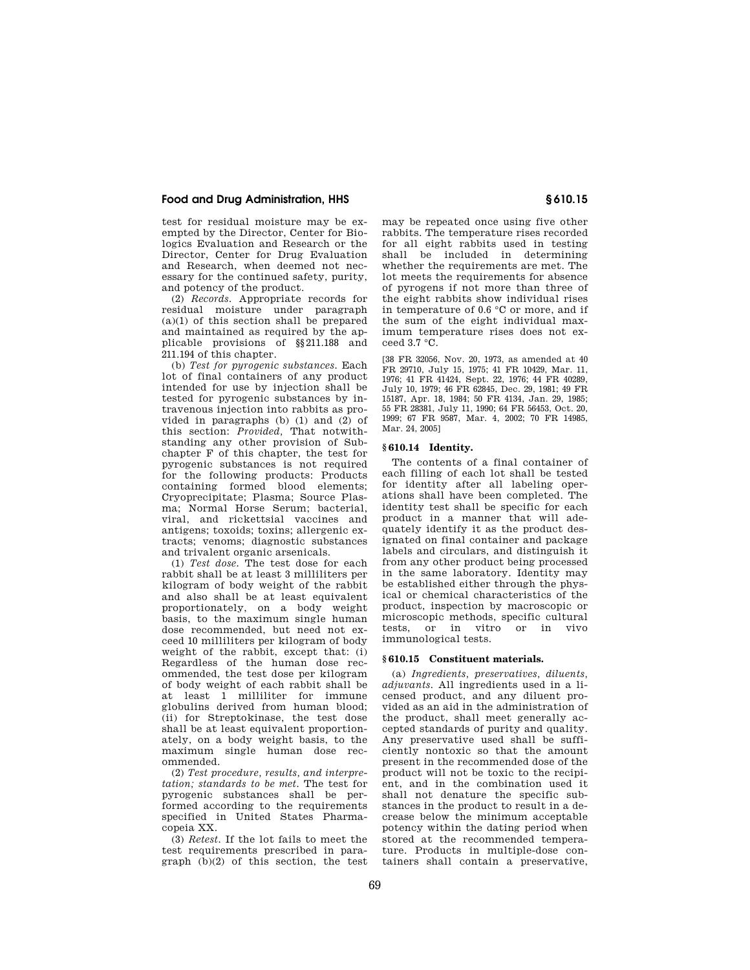test for residual moisture may be exempted by the Director, Center for Biologics Evaluation and Research or the Director, Center for Drug Evaluation and Research, when deemed not necessary for the continued safety, purity, and potency of the product.

(2) *Records.* Appropriate records for residual moisture under paragraph  $(a)(1)$  of this section shall be prepared and maintained as required by the applicable provisions of §§211.188 and 211.194 of this chapter.

(b) *Test for pyrogenic substances.* Each lot of final containers of any product intended for use by injection shall be tested for pyrogenic substances by intravenous injection into rabbits as provided in paragraphs (b) (1) and (2) of this section: *Provided,* That notwithstanding any other provision of Subchapter F of this chapter, the test for pyrogenic substances is not required for the following products: Products containing formed blood elements; Cryoprecipitate; Plasma; Source Plasma; Normal Horse Serum; bacterial, viral, and rickettsial vaccines and antigens; toxoids; toxins; allergenic extracts; venoms; diagnostic substances and trivalent organic arsenicals.

(1) *Test dose.* The test dose for each rabbit shall be at least 3 milliliters per kilogram of body weight of the rabbit and also shall be at least equivalent proportionately, on a body weight basis, to the maximum single human dose recommended, but need not exceed 10 milliliters per kilogram of body weight of the rabbit, except that: (i) Regardless of the human dose recommended, the test dose per kilogram of body weight of each rabbit shall be at least 1 milliliter for immune globulins derived from human blood; (ii) for Streptokinase, the test dose shall be at least equivalent proportionately, on a body weight basis, to the maximum single human dose recommended.

(2) *Test procedure, results, and interpretation; standards to be met.* The test for pyrogenic substances shall be performed according to the requirements specified in United States Pharmacopeia XX.

(3) *Retest.* If the lot fails to meet the test requirements prescribed in para $graph$  (b)(2) of this section, the test may be repeated once using five other rabbits. The temperature rises recorded for all eight rabbits used in testing shall be included in determining whether the requirements are met. The lot meets the requirements for absence of pyrogens if not more than three of the eight rabbits show individual rises in temperature of 0.6 °C or more, and if the sum of the eight individual maximum temperature rises does not exceed 3.7 °C.

[38 FR 32056, Nov. 20, 1973, as amended at 40 FR 29710, July 15, 1975; 41 FR 10429, Mar. 11, 1976; 41 FR 41424, Sept. 22, 1976; 44 FR 40289, July 10, 1979; 46 FR 62845, Dec. 29, 1981; 49 FR 15187, Apr. 18, 1984; 50 FR 4134, Jan. 29, 1985; 55 FR 28381, July 11, 1990; 64 FR 56453, Oct. 20, 1999; 67 FR 9587, Mar. 4, 2002; 70 FR 14985, Mar. 24, 2005]

### **§ 610.14 Identity.**

The contents of a final container of each filling of each lot shall be tested for identity after all labeling operations shall have been completed. The identity test shall be specific for each product in a manner that will adequately identify it as the product designated on final container and package labels and circulars, and distinguish it from any other product being processed in the same laboratory. Identity may be established either through the physical or chemical characteristics of the product, inspection by macroscopic or microscopic methods, specific cultural tests, or in vitro or in vivo immunological tests.

### **§ 610.15 Constituent materials.**

(a) *Ingredients, preservatives, diluents, adjuvants.* All ingredients used in a licensed product, and any diluent provided as an aid in the administration of the product, shall meet generally accepted standards of purity and quality. Any preservative used shall be sufficiently nontoxic so that the amount present in the recommended dose of the product will not be toxic to the recipient, and in the combination used it shall not denature the specific substances in the product to result in a decrease below the minimum acceptable potency within the dating period when stored at the recommended temperature. Products in multiple-dose containers shall contain a preservative,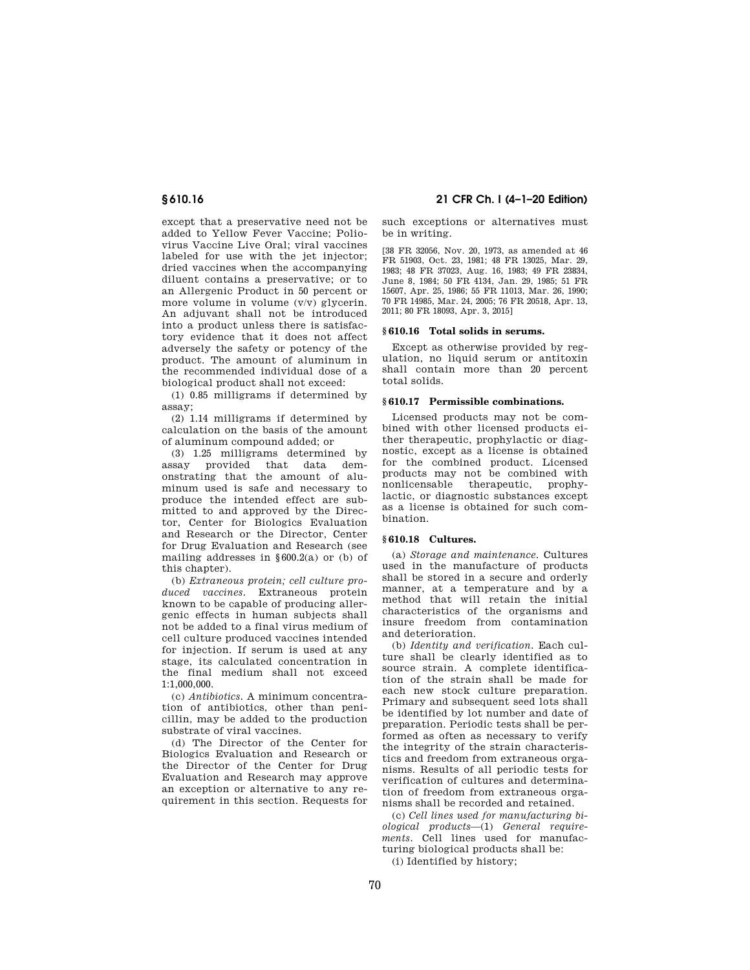except that a preservative need not be added to Yellow Fever Vaccine; Poliovirus Vaccine Live Oral; viral vaccines labeled for use with the jet injector; dried vaccines when the accompanying diluent contains a preservative; or to an Allergenic Product in 50 percent or more volume in volume (v/v) glycerin. An adjuvant shall not be introduced into a product unless there is satisfactory evidence that it does not affect adversely the safety or potency of the product. The amount of aluminum in the recommended individual dose of a biological product shall not exceed:

(1) 0.85 milligrams if determined by assay;

(2) 1.14 milligrams if determined by calculation on the basis of the amount of aluminum compound added; or

(3) 1.25 milligrams determined by assay provided that data demonstrating that the amount of aluminum used is safe and necessary to produce the intended effect are submitted to and approved by the Director, Center for Biologics Evaluation and Research or the Director, Center for Drug Evaluation and Research (see mailing addresses in §600.2(a) or (b) of this chapter).

(b) *Extraneous protein; cell culture produced vaccines.* Extraneous protein known to be capable of producing allergenic effects in human subjects shall not be added to a final virus medium of cell culture produced vaccines intended for injection. If serum is used at any stage, its calculated concentration in the final medium shall not exceed 1:1,000,000.

(c) *Antibiotics.* A minimum concentration of antibiotics, other than penicillin, may be added to the production substrate of viral vaccines.

(d) The Director of the Center for Biologics Evaluation and Research or the Director of the Center for Drug Evaluation and Research may approve an exception or alternative to any requirement in this section. Requests for

# **§ 610.16 21 CFR Ch. I (4–1–20 Edition)**

such exceptions or alternatives must be in writing.

[38 FR 32056, Nov. 20, 1973, as amended at 46 FR 51903, Oct. 23, 1981; 48 FR 13025, Mar. 29, 1983; 48 FR 37023, Aug. 16, 1983; 49 FR 23834, June 8, 1984; 50 FR 4134, Jan. 29, 1985; 51 FR 15607, Apr. 25, 1986; 55 FR 11013, Mar. 26, 1990; 70 FR 14985, Mar. 24, 2005; 76 FR 20518, Apr. 13, 2011; 80 FR 18093, Apr. 3, 2015]

### **§ 610.16 Total solids in serums.**

Except as otherwise provided by regulation, no liquid serum or antitoxin shall contain more than 20 percent total solids.

# **§ 610.17 Permissible combinations.**

Licensed products may not be combined with other licensed products either therapeutic, prophylactic or diagnostic, except as a license is obtained for the combined product. Licensed products may not be combined with<br>nonlicensable therapeutic, prophytherapeutic, prophylactic, or diagnostic substances except as a license is obtained for such combination.

### **§ 610.18 Cultures.**

(a) *Storage and maintenance.* Cultures used in the manufacture of products shall be stored in a secure and orderly manner, at a temperature and by a method that will retain the initial characteristics of the organisms and insure freedom from contamination and deterioration.

(b) *Identity and verification.* Each culture shall be clearly identified as to source strain. A complete identification of the strain shall be made for each new stock culture preparation. Primary and subsequent seed lots shall be identified by lot number and date of preparation. Periodic tests shall be performed as often as necessary to verify the integrity of the strain characteristics and freedom from extraneous organisms. Results of all periodic tests for verification of cultures and determination of freedom from extraneous organisms shall be recorded and retained.

(c) *Cell lines used for manufacturing biological products*—(1) *General requirements.* Cell lines used for manufacturing biological products shall be:

(i) Identified by history;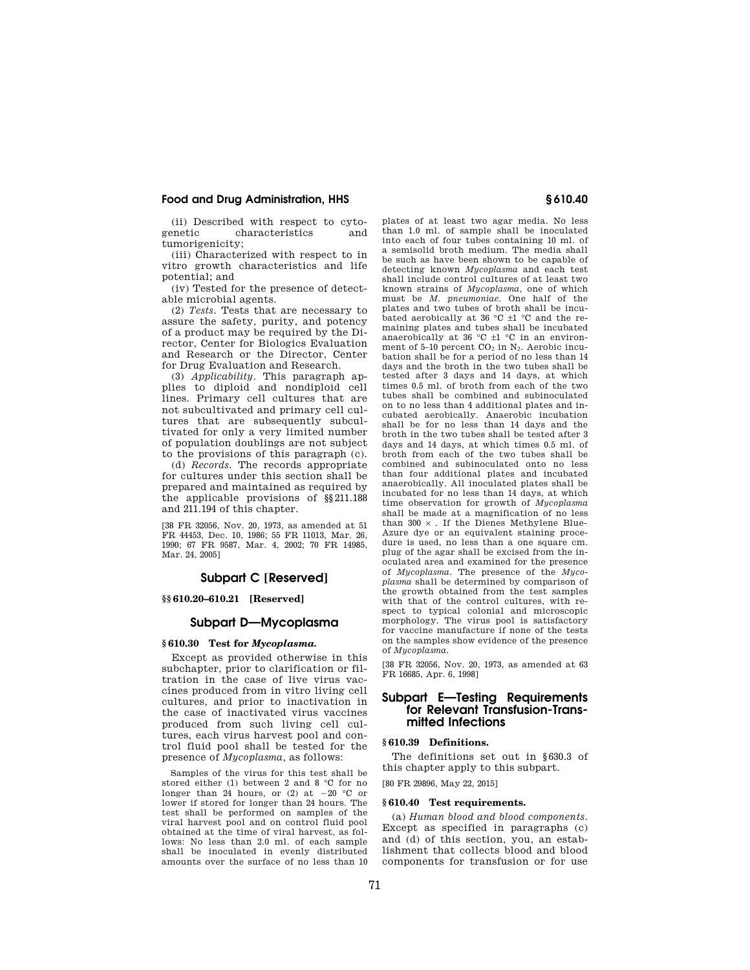(ii) Described with respect to cytogenetic characteristics and tumorigenicity;

(iii) Characterized with respect to in vitro growth characteristics and life potential; and

(iv) Tested for the presence of detectable microbial agents.

(2) *Tests.* Tests that are necessary to assure the safety, purity, and potency of a product may be required by the Director, Center for Biologics Evaluation and Research or the Director, Center for Drug Evaluation and Research.

(3) *Applicability.* This paragraph applies to diploid and nondiploid cell lines. Primary cell cultures that are not subcultivated and primary cell cultures that are subsequently subcultivated for only a very limited number of population doublings are not subject to the provisions of this paragraph (c).

(d) *Records.* The records appropriate for cultures under this section shall be prepared and maintained as required by the applicable provisions of §§211.188 and 211.194 of this chapter.

[38 FR 32056, Nov. 20, 1973, as amended at 51 FR 44453, Dec. 10, 1986; 55 FR 11013, Mar. 26, 1990; 67 FR 9587, Mar. 4, 2002; 70 FR 14985, Mar. 24, 2005]

### **Subpart C [Reserved]**

# **§§ 610.20–610.21 [Reserved]**

# **Subpart D—Mycoplasma**

### **§ 610.30 Test for** *Mycoplasma.*

Except as provided otherwise in this subchapter, prior to clarification or filtration in the case of live virus vaccines produced from in vitro living cell cultures, and prior to inactivation in the case of inactivated virus vaccines produced from such living cell cultures, each virus harvest pool and control fluid pool shall be tested for the presence of *Mycoplasma,* as follows:

Samples of the virus for this test shall be stored either (1) between 2 and 8 °C for no longer than 24 hours, or (2) at  $-20$  °C or lower if stored for longer than 24 hours. The test shall be performed on samples of the viral harvest pool and on control fluid pool obtained at the time of viral harvest, as follows: No less than 2.0 ml. of each sample shall be inoculated in evenly distributed amounts over the surface of no less than 10

than 1.0 ml. of sample shall be inoculated into each of four tubes containing 10 ml. of a semisolid broth medium. The media shall be such as have been shown to be capable of detecting known *Mycoplasma* and each test shall include control cultures of at least two known strains of *Mycoplasma,* one of which must be *M. pneumoniae.* One half of the plates and two tubes of broth shall be incubated aerobically at 36 °C  $\pm$ 1 °C and the remaining plates and tubes shall be incubated anaerobically at 36  $\degree$ C  $\pm$ 1  $\degree$ C in an environment of  $5-10$  percent CO<sub>2</sub> in N<sub>2</sub>. Aerobic incubation shall be for a period of no less than 14 days and the broth in the two tubes shall be tested after 3 days and 14 days, at which times 0.5 ml. of broth from each of the two tubes shall be combined and subinoculated on to no less than 4 additional plates and incubated aerobically. Anaerobic incubation shall be for no less than 14 days and the broth in the two tubes shall be tested after 3 days and 14 days, at which times 0.5 ml. of broth from each of the two tubes shall be combined and subinoculated onto no less than four additional plates and incubated anaerobically. All inoculated plates shall be incubated for no less than 14 days, at which time observation for growth of *Mycoplasma*  shall be made at a magnification of no less than 300  $\times$ . If the Dienes Methylene Blue-Azure dye or an equivalent staining procedure is used, no less than a one square cm. plug of the agar shall be excised from the inoculated area and examined for the presence of *Mycoplasma.* The presence of the *Mycoplasma* shall be determined by comparison of the growth obtained from the test samples with that of the control cultures, with respect to typical colonial and microscopic morphology. The virus pool is satisfactory for vaccine manufacture if none of the tests on the samples show evidence of the presence of *Mycoplasma.* 

plates of at least two agar media. No less

[38 FR 32056, Nov. 20, 1973, as amended at 63 FR 16685, Apr. 6, 1998]

# **Subpart E—Testing Requirements for Relevant Transfusion-Transmitted Infections**

### **§ 610.39 Definitions.**

The definitions set out in §630.3 of this chapter apply to this subpart.

[80 FR 29896, May 22, 2015]

### **§ 610.40 Test requirements.**

(a) *Human blood and blood components.*  Except as specified in paragraphs (c) and (d) of this section, you, an establishment that collects blood and blood components for transfusion or for use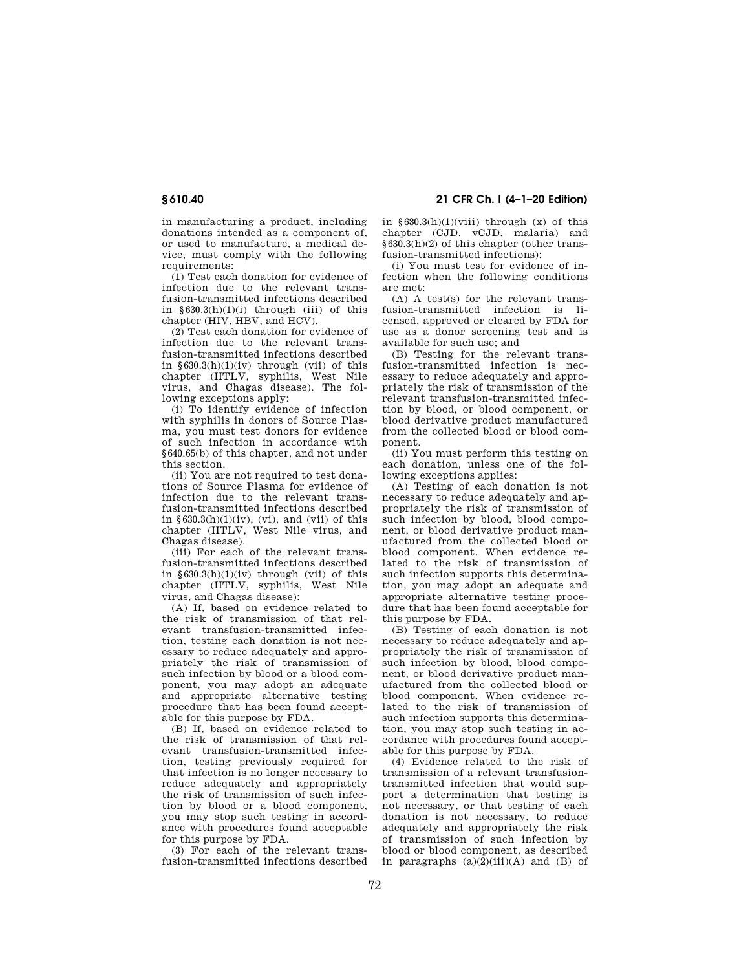in manufacturing a product, including donations intended as a component of, or used to manufacture, a medical device, must comply with the following requirements:

(1) Test each donation for evidence of infection due to the relevant transfusion-transmitted infections described in  $§630.3(h)(1)(i)$  through (iii) of this chapter (HIV, HBV, and HCV).

(2) Test each donation for evidence of infection due to the relevant transfusion-transmitted infections described in  $§630.3(h)(1)(iv)$  through (vii) of this chapter (HTLV, syphilis, West Nile virus, and Chagas disease). The following exceptions apply:

(i) To identify evidence of infection with syphilis in donors of Source Plasma, you must test donors for evidence of such infection in accordance with §640.65(b) of this chapter, and not under this section.

(ii) You are not required to test donations of Source Plasma for evidence of infection due to the relevant transfusion-transmitted infections described in  $§630.3(h)(1)(iv)$ , (vi), and (vii) of this chapter (HTLV, West Nile virus, and Chagas disease).

(iii) For each of the relevant transfusion-transmitted infections described in  $§630.3(h)(1)(iv)$  through (vii) of this chapter (HTLV, syphilis, West Nile virus, and Chagas disease):

(A) If, based on evidence related to the risk of transmission of that relevant transfusion-transmitted infection, testing each donation is not necessary to reduce adequately and appropriately the risk of transmission of such infection by blood or a blood component, you may adopt an adequate and appropriate alternative testing procedure that has been found acceptable for this purpose by FDA.

(B) If, based on evidence related to the risk of transmission of that relevant transfusion-transmitted infection, testing previously required for that infection is no longer necessary to reduce adequately and appropriately the risk of transmission of such infection by blood or a blood component, you may stop such testing in accordance with procedures found acceptable for this purpose by FDA.

(3) For each of the relevant transfusion-transmitted infections described

**§ 610.40 21 CFR Ch. I (4–1–20 Edition)** 

in  $$630.3(h)(1)(viii)$  through (x) of this chapter (CJD, vCJD, malaria) and §630.3(h)(2) of this chapter (other transfusion-transmitted infections):

(i) You must test for evidence of infection when the following conditions are met:

(A) A test(s) for the relevant transfusion-transmitted infection is licensed, approved or cleared by FDA for use as a donor screening test and is available for such use; and

(B) Testing for the relevant transfusion-transmitted infection is necessary to reduce adequately and appropriately the risk of transmission of the relevant transfusion-transmitted infection by blood, or blood component, or blood derivative product manufactured from the collected blood or blood component.

(ii) You must perform this testing on each donation, unless one of the following exceptions applies:

(A) Testing of each donation is not necessary to reduce adequately and appropriately the risk of transmission of such infection by blood, blood component, or blood derivative product manufactured from the collected blood or blood component. When evidence related to the risk of transmission of such infection supports this determination, you may adopt an adequate and appropriate alternative testing procedure that has been found acceptable for this purpose by FDA.

(B) Testing of each donation is not necessary to reduce adequately and appropriately the risk of transmission of such infection by blood, blood component, or blood derivative product manufactured from the collected blood or blood component. When evidence related to the risk of transmission of such infection supports this determination, you may stop such testing in accordance with procedures found acceptable for this purpose by FDA.

(4) Evidence related to the risk of transmission of a relevant transfusiontransmitted infection that would support a determination that testing is not necessary, or that testing of each donation is not necessary, to reduce adequately and appropriately the risk of transmission of such infection by blood or blood component, as described in paragraphs  $(a)(2)(iii)(A)$  and  $(B)$  of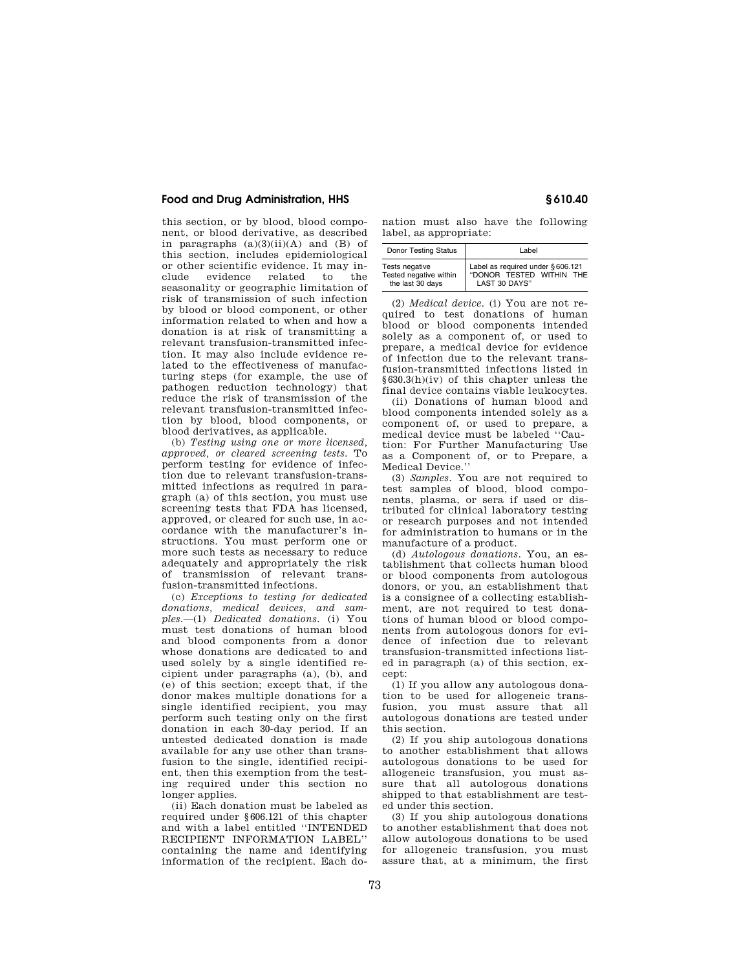this section, or by blood, blood component, or blood derivative, as described in paragraphs  $(a)(3)(ii)(A)$  and  $(B)$  of this section, includes epidemiological or other scientific evidence. It may include evidence related to the seasonality or geographic limitation of risk of transmission of such infection by blood or blood component, or other information related to when and how a donation is at risk of transmitting a relevant transfusion-transmitted infection. It may also include evidence related to the effectiveness of manufacturing steps (for example, the use of pathogen reduction technology) that reduce the risk of transmission of the relevant transfusion-transmitted infection by blood, blood components, or blood derivatives, as applicable.

(b) *Testing using one or more licensed, approved, or cleared screening tests.* To perform testing for evidence of infection due to relevant transfusion-transmitted infections as required in paragraph (a) of this section, you must use screening tests that FDA has licensed, approved, or cleared for such use, in accordance with the manufacturer's instructions. You must perform one or more such tests as necessary to reduce adequately and appropriately the risk of transmission of relevant transfusion-transmitted infections.

(c) *Exceptions to testing for dedicated donations, medical devices, and samples.*—(1) *Dedicated donations.* (i) You must test donations of human blood and blood components from a donor whose donations are dedicated to and used solely by a single identified recipient under paragraphs (a), (b), and (e) of this section; except that, if the donor makes multiple donations for a single identified recipient, you may perform such testing only on the first donation in each 30-day period. If an untested dedicated donation is made available for any use other than transfusion to the single, identified recipient, then this exemption from the testing required under this section no longer applies.

(ii) Each donation must be labeled as required under §606.121 of this chapter and with a label entitled ''INTENDED RECIPIENT INFORMATION LABEL'' containing the name and identifying information of the recipient. Each donation must also have the following label, as appropriate:

| <b>Donor Testing Status</b> | Label                            |  |
|-----------------------------|----------------------------------|--|
| Tests negative              | Label as required under §606.121 |  |
| Tested negative within      | "DONOR TESTED WITHIN THE         |  |
| the last 30 days            | LAST 30 DAYS"                    |  |

(2) *Medical device.* (i) You are not required to test donations of human blood or blood components intended solely as a component of, or used to prepare, a medical device for evidence of infection due to the relevant transfusion-transmitted infections listed in §630.3(h)(iv) of this chapter unless the final device contains viable leukocytes.

(ii) Donations of human blood and blood components intended solely as a component of, or used to prepare, a medical device must be labeled ''Caution: For Further Manufacturing Use as a Component of, or to Prepare, a Medical Device.''

(3) *Samples.* You are not required to test samples of blood, blood components, plasma, or sera if used or distributed for clinical laboratory testing or research purposes and not intended for administration to humans or in the manufacture of a product.

(d) *Autologous donations.* You, an establishment that collects human blood or blood components from autologous donors, or you, an establishment that is a consignee of a collecting establishment, are not required to test donations of human blood or blood components from autologous donors for evidence of infection due to relevant transfusion-transmitted infections listed in paragraph (a) of this section, except:

(1) If you allow any autologous donation to be used for allogeneic transfusion, you must assure that all autologous donations are tested under this section.

(2) If you ship autologous donations to another establishment that allows autologous donations to be used for allogeneic transfusion, you must assure that all autologous donations shipped to that establishment are tested under this section.

(3) If you ship autologous donations to another establishment that does not allow autologous donations to be used for allogeneic transfusion, you must assure that, at a minimum, the first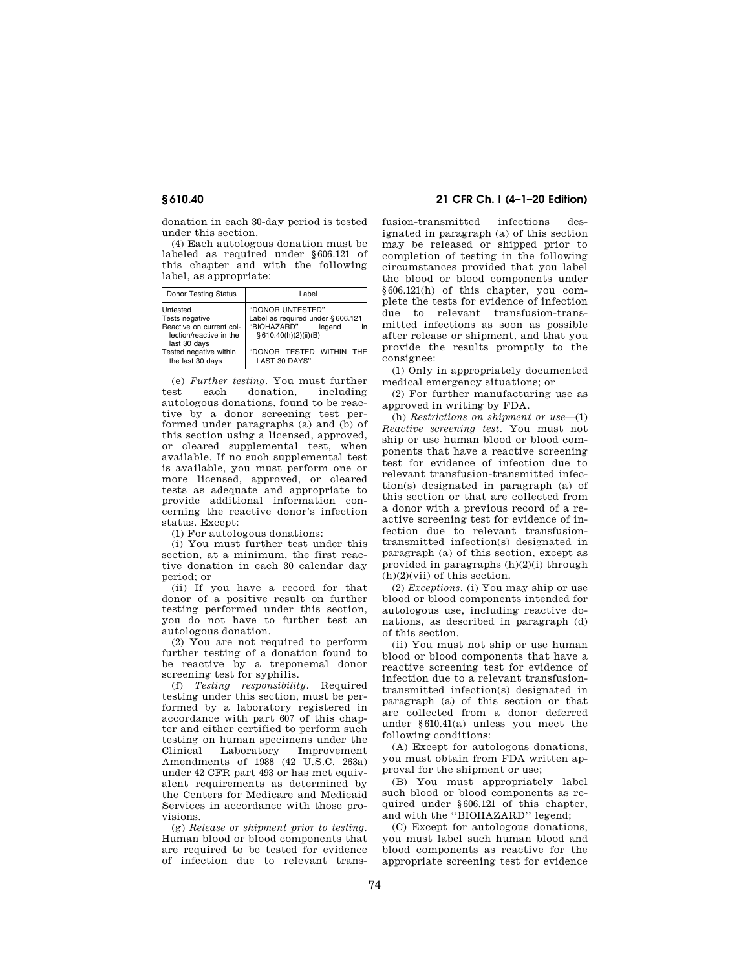donation in each 30-day period is tested under this section.

(4) Each autologous donation must be labeled as required under §606.121 of this chapter and with the following label, as appropriate:

| Donor Testing Status                                                              | I ahel                                                                                                        |
|-----------------------------------------------------------------------------------|---------------------------------------------------------------------------------------------------------------|
| Untested<br>Tests negative<br>Reactive on current col-<br>lection/reactive in the | "DONOR UNTESTED"<br>Label as required under § 606.121<br>"BIOHAZARD"<br>legend<br>in<br>§ 610.40(h)(2)(ii)(B) |
| last 30 days<br>Tested negative within<br>the last 30 days                        | "DONOR TESTED WITHIN<br>THF<br>LAST 30 DAYS"                                                                  |

(e) *Further testing.* You must further test each donation, autologous donations, found to be reactive by a donor screening test performed under paragraphs (a) and (b) of this section using a licensed, approved, or cleared supplemental test, when available. If no such supplemental test is available, you must perform one or more licensed, approved, or cleared tests as adequate and appropriate to provide additional information concerning the reactive donor's infection status. Except:

(1) For autologous donations:

(i) You must further test under this section, at a minimum, the first reactive donation in each 30 calendar day period; or

(ii) If you have a record for that donor of a positive result on further testing performed under this section, you do not have to further test an autologous donation.

(2) You are not required to perform further testing of a donation found to be reactive by a treponemal donor screening test for syphilis.

(f) *Testing responsibility.* Required testing under this section, must be performed by a laboratory registered in accordance with part 607 of this chapter and either certified to perform such testing on human specimens under the<br>Clinical Laboratory Improvement Clinical Laboratory Improvement Amendments of 1988 (42 U.S.C. 263a) under 42 CFR part 493 or has met equivalent requirements as determined by the Centers for Medicare and Medicaid Services in accordance with those provisions.

(g) *Release or shipment prior to testing.*  Human blood or blood components that are required to be tested for evidence of infection due to relevant trans-

# **§ 610.40 21 CFR Ch. I (4–1–20 Edition)**

fusion-transmitted infections designated in paragraph (a) of this section may be released or shipped prior to completion of testing in the following circumstances provided that you label the blood or blood components under §606.121(h) of this chapter, you complete the tests for evidence of infection due to relevant transfusion-transmitted infections as soon as possible after release or shipment, and that you provide the results promptly to the consignee:

(1) Only in appropriately documented medical emergency situations; or

(2) For further manufacturing use as approved in writing by FDA.

(h) *Restrictions on shipment or use*—(1) *Reactive screening test.* You must not ship or use human blood or blood components that have a reactive screening test for evidence of infection due to relevant transfusion-transmitted infection(s) designated in paragraph (a) of this section or that are collected from a donor with a previous record of a reactive screening test for evidence of infection due to relevant transfusiontransmitted infection(s) designated in paragraph (a) of this section, except as provided in paragraphs (h)(2)(i) through (h)(2)(vii) of this section.

(2) *Exceptions.* (i) You may ship or use blood or blood components intended for autologous use, including reactive donations, as described in paragraph (d) of this section.

(ii) You must not ship or use human blood or blood components that have a reactive screening test for evidence of infection due to a relevant transfusiontransmitted infection(s) designated in paragraph (a) of this section or that are collected from a donor deferred under §610.41(a) unless you meet the following conditions:

(A) Except for autologous donations, you must obtain from FDA written approval for the shipment or use;

(B) You must appropriately label such blood or blood components as required under §606.121 of this chapter, and with the "BIOHAZARD" legend;

(C) Except for autologous donations, you must label such human blood and blood components as reactive for the appropriate screening test for evidence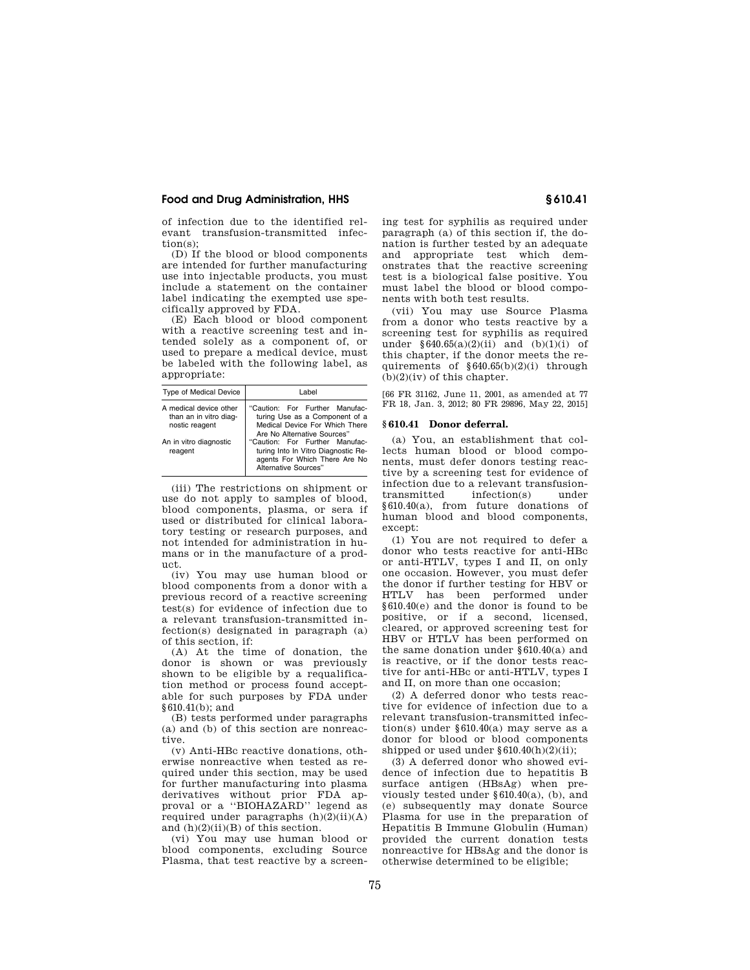of infection due to the identified relevant transfusion-transmitted infection(s);

(D) If the blood or blood components are intended for further manufacturing use into injectable products, you must include a statement on the container label indicating the exempted use specifically approved by FDA.

(E) Each blood or blood component with a reactive screening test and intended solely as a component of, or used to prepare a medical device, must be labeled with the following label, as appropriate:

| Type of Medical Device                                             | l ahel                                                                                                                                                                                                                                                              |  |
|--------------------------------------------------------------------|---------------------------------------------------------------------------------------------------------------------------------------------------------------------------------------------------------------------------------------------------------------------|--|
| A medical device other<br>than an in vitro diag-<br>nostic reagent | "Caution: For Further Manufac-<br>turing Use as a Component of a<br>Medical Device For Which There<br>Are No Alternative Sources"<br>"Caution: For Further Manufac-<br>turing Into In Vitro Diagnostic Re-<br>agents For Which There Are No<br>Alternative Sources" |  |
| An in vitro diagnostic<br>reagent                                  |                                                                                                                                                                                                                                                                     |  |

(iii) The restrictions on shipment or use do not apply to samples of blood, blood components, plasma, or sera if used or distributed for clinical laboratory testing or research purposes, and not intended for administration in humans or in the manufacture of a product.

(iv) You may use human blood or blood components from a donor with a previous record of a reactive screening test(s) for evidence of infection due to a relevant transfusion-transmitted infection(s) designated in paragraph (a) of this section, if:

(A) At the time of donation, the donor is shown or was previously shown to be eligible by a requalification method or process found acceptable for such purposes by FDA under §610.41(b); and

(B) tests performed under paragraphs (a) and (b) of this section are nonreactive.

(v) Anti-HBc reactive donations, otherwise nonreactive when tested as required under this section, may be used for further manufacturing into plasma derivatives without prior FDA approval or a ''BIOHAZARD'' legend as required under paragraphs  $(h)(2)(ii)(A)$ and  $(h)(2)(ii)(B)$  of this section.

(vi) You may use human blood or blood components, excluding Source Plasma, that test reactive by a screening test for syphilis as required under paragraph (a) of this section if, the donation is further tested by an adequate and appropriate test which demonstrates that the reactive screening test is a biological false positive. You must label the blood or blood components with both test results.

(vii) You may use Source Plasma from a donor who tests reactive by a screening test for syphilis as required under  $\frac{640.65(a)(2)(ii)}{a}$  and  $(b)(1)(i)$  of this chapter, if the donor meets the requirements of  $§640.65(b)(2)(i)$  through  $(b)(2)(iv)$  of this chapter.

[66 FR 31162, June 11, 2001, as amended at 77 FR 18, Jan. 3, 2012; 80 FR 29896, May 22, 2015]

### **§ 610.41 Donor deferral.**

(a) You, an establishment that collects human blood or blood components, must defer donors testing reactive by a screening test for evidence of infection due to a relevant transfusiontransmitted infection(s) under §610.40(a), from future donations of human blood and blood components, except:

(1) You are not required to defer a donor who tests reactive for anti-HBc or anti-HTLV, types I and II, on only one occasion. However, you must defer the donor if further testing for HBV or HTLV has been performed under §610.40(e) and the donor is found to be positive, or if a second, licensed, cleared, or approved screening test for HBV or HTLV has been performed on the same donation under §610.40(a) and is reactive, or if the donor tests reactive for anti-HBc or anti-HTLV, types I and II, on more than one occasion;

(2) A deferred donor who tests reactive for evidence of infection due to a relevant transfusion-transmitted infection(s) under §610.40(a) may serve as a donor for blood or blood components shipped or used under  $§610.40(h)(2)(ii);$ 

(3) A deferred donor who showed evidence of infection due to hepatitis B surface antigen (HBsAg) when previously tested under §610.40(a), (b), and (e) subsequently may donate Source Plasma for use in the preparation of Hepatitis B Immune Globulin (Human) provided the current donation tests nonreactive for HBsAg and the donor is otherwise determined to be eligible;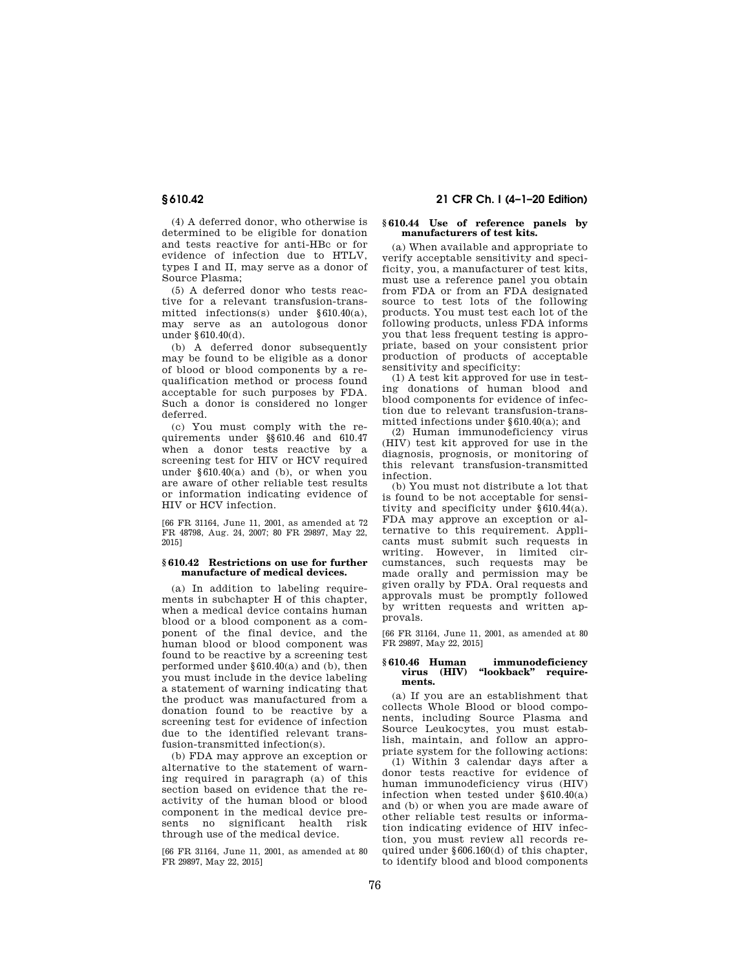(4) A deferred donor, who otherwise is determined to be eligible for donation and tests reactive for anti-HBc or for evidence of infection due to HTLV, types I and II, may serve as a donor of Source Plasma;

(5) A deferred donor who tests reactive for a relevant transfusion-transmitted infections(s) under §610.40(a), may serve as an autologous donor under §610.40(d).

(b) A deferred donor subsequently may be found to be eligible as a donor of blood or blood components by a requalification method or process found acceptable for such purposes by FDA. Such a donor is considered no longer deferred.

(c) You must comply with the requirements under §§610.46 and 610.47 when a donor tests reactive by a screening test for HIV or HCV required under §610.40(a) and (b), or when you are aware of other reliable test results or information indicating evidence of HIV or HCV infection.

[66 FR 31164, June 11, 2001, as amended at 72 FR 48798, Aug. 24, 2007; 80 FR 29897, May 22, 2015]

### **§ 610.42 Restrictions on use for further manufacture of medical devices.**

(a) In addition to labeling requirements in subchapter H of this chapter, when a medical device contains human blood or a blood component as a component of the final device, and the human blood or blood component was found to be reactive by a screening test performed under §610.40(a) and (b), then you must include in the device labeling a statement of warning indicating that the product was manufactured from a donation found to be reactive by a screening test for evidence of infection due to the identified relevant transfusion-transmitted infection(s).

(b) FDA may approve an exception or alternative to the statement of warning required in paragraph (a) of this section based on evidence that the reactivity of the human blood or blood component in the medical device presents no significant health risk through use of the medical device.

[66 FR 31164, June 11, 2001, as amended at 80 FR 29897, May 22, 2015]

# **§ 610.42 21 CFR Ch. I (4–1–20 Edition)**

### **§ 610.44 Use of reference panels by manufacturers of test kits.**

(a) When available and appropriate to verify acceptable sensitivity and specificity, you, a manufacturer of test kits, must use a reference panel you obtain from FDA or from an FDA designated source to test lots of the following products. You must test each lot of the following products, unless FDA informs you that less frequent testing is appropriate, based on your consistent prior production of products of acceptable sensitivity and specificity:

(1) A test kit approved for use in testing donations of human blood and blood components for evidence of infection due to relevant transfusion-transmitted infections under §610.40(a); and

(2) Human immunodeficiency virus (HIV) test kit approved for use in the diagnosis, prognosis, or monitoring of this relevant transfusion-transmitted infection.

(b) You must not distribute a lot that is found to be not acceptable for sensitivity and specificity under §610.44(a). FDA may approve an exception or alternative to this requirement. Applicants must submit such requests in writing. However, in limited circumstances, such requests may be made orally and permission may be given orally by FDA. Oral requests and approvals must be promptly followed by written requests and written approvals.

[66 FR 31164, June 11, 2001, as amended at 80 FR 29897, May 22, 2015]

### **§ 610.46 Human immunodeficiency virus (HIV) ''lookback'' requirements.**

(a) If you are an establishment that collects Whole Blood or blood components, including Source Plasma and Source Leukocytes, you must establish, maintain, and follow an appropriate system for the following actions:

(1) Within 3 calendar days after a donor tests reactive for evidence of human immunodeficiency virus (HIV) infection when tested under §610.40(a) and (b) or when you are made aware of other reliable test results or information indicating evidence of HIV infection, you must review all records required under §606.160(d) of this chapter, to identify blood and blood components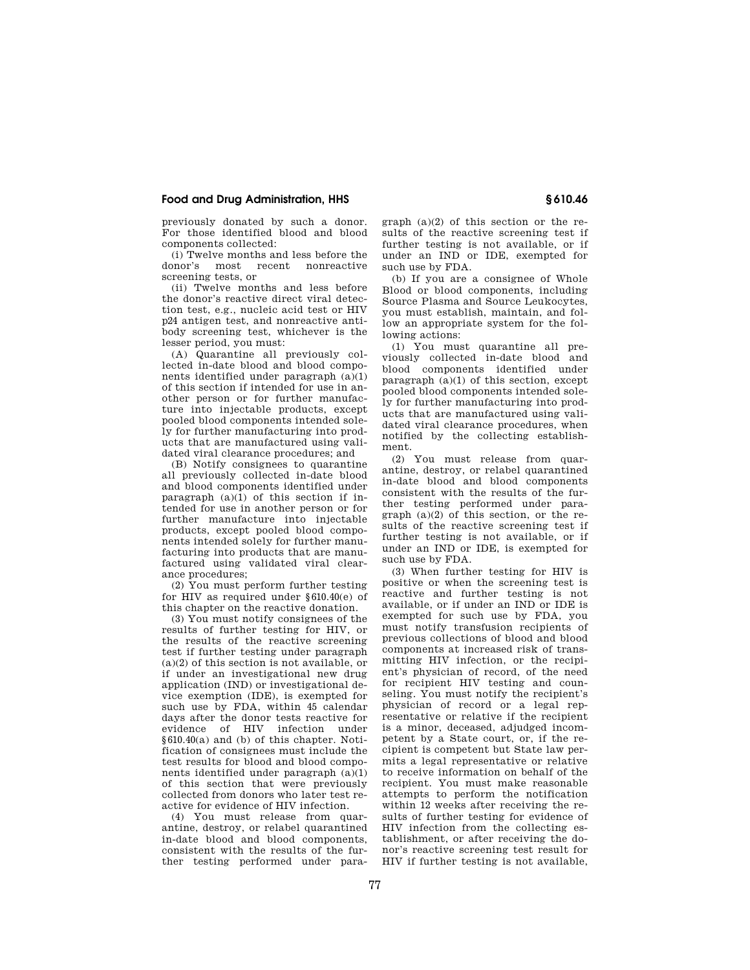previously donated by such a donor. For those identified blood and blood components collected:

(i) Twelve months and less before the donor's most recent nonreactive screening tests, or

(ii) Twelve months and less before the donor's reactive direct viral detection test, e.g., nucleic acid test or HIV p24 antigen test, and nonreactive antibody screening test, whichever is the lesser period, you must:

(A) Quarantine all previously collected in-date blood and blood components identified under paragraph  $(a)(1)$ of this section if intended for use in another person or for further manufacture into injectable products, except pooled blood components intended solely for further manufacturing into products that are manufactured using validated viral clearance procedures; and

(B) Notify consignees to quarantine all previously collected in-date blood and blood components identified under paragraph  $(a)(1)$  of this section if intended for use in another person or for further manufacture into injectable products, except pooled blood components intended solely for further manufacturing into products that are manufactured using validated viral clearance procedures;

(2) You must perform further testing for HIV as required under §610.40(e) of this chapter on the reactive donation.

(3) You must notify consignees of the results of further testing for HIV, or the results of the reactive screening test if further testing under paragraph  $(a)(2)$  of this section is not available. or if under an investigational new drug application (IND) or investigational device exemption (IDE), is exempted for such use by FDA, within 45 calendar days after the donor tests reactive for evidence of HIV infection under §610.40(a) and (b) of this chapter. Notification of consignees must include the test results for blood and blood components identified under paragraph  $(a)(1)$ of this section that were previously collected from donors who later test reactive for evidence of HIV infection.

(4) You must release from quarantine, destroy, or relabel quarantined in-date blood and blood components, consistent with the results of the further testing performed under para-

graph (a)(2) of this section or the results of the reactive screening test if further testing is not available, or if under an IND or IDE, exempted for such use by FDA.

(b) If you are a consignee of Whole Blood or blood components, including Source Plasma and Source Leukocytes, you must establish, maintain, and follow an appropriate system for the following actions:

(1) You must quarantine all previously collected in-date blood and blood components identified under paragraph (a)(1) of this section, except pooled blood components intended solely for further manufacturing into products that are manufactured using validated viral clearance procedures, when notified by the collecting establishment.

(2) You must release from quarantine, destroy, or relabel quarantined in-date blood and blood components consistent with the results of the further testing performed under paragraph (a)(2) of this section, or the results of the reactive screening test if further testing is not available, or if under an IND or IDE, is exempted for such use by FDA.

(3) When further testing for HIV is positive or when the screening test is reactive and further testing is not available, or if under an IND or IDE is exempted for such use by FDA, you must notify transfusion recipients of previous collections of blood and blood components at increased risk of transmitting HIV infection, or the recipient's physician of record, of the need for recipient HIV testing and counseling. You must notify the recipient's physician of record or a legal representative or relative if the recipient is a minor, deceased, adjudged incompetent by a State court, or, if the recipient is competent but State law permits a legal representative or relative to receive information on behalf of the recipient. You must make reasonable attempts to perform the notification within 12 weeks after receiving the results of further testing for evidence of HIV infection from the collecting establishment, or after receiving the donor's reactive screening test result for HIV if further testing is not available,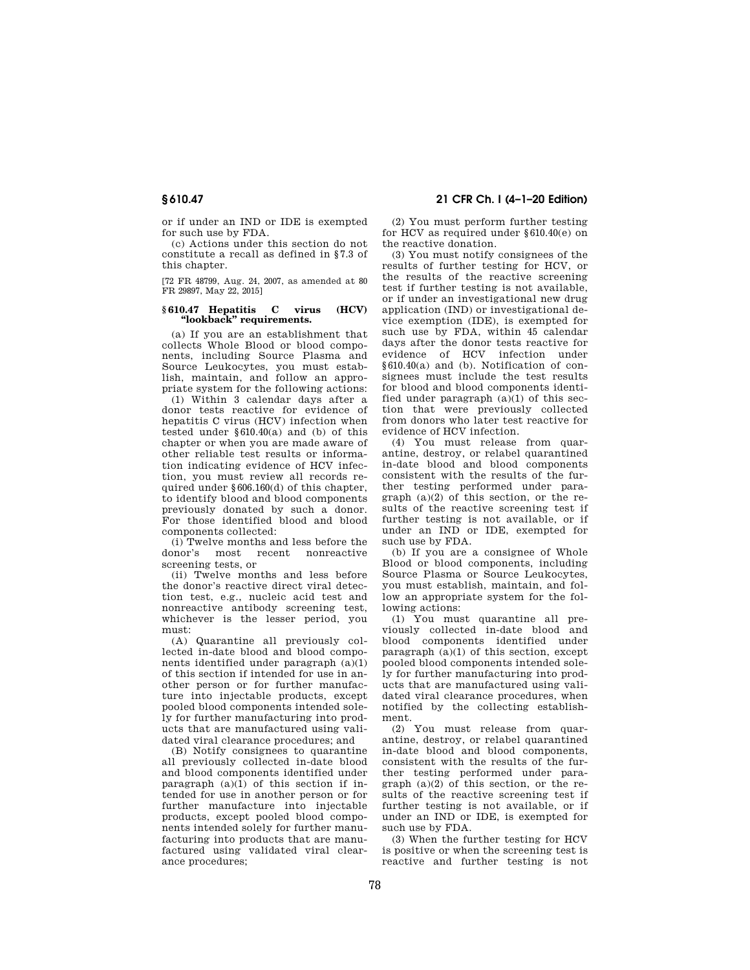or if under an IND or IDE is exempted for such use by FDA.

(c) Actions under this section do not constitute a recall as defined in §7.3 of this chapter.

[72 FR 48799, Aug. 24, 2007, as amended at 80 FR 29897, May 22, 2015]

### **§ 610.47 Hepatitis C virus (HCV) ''lookback'' requirements.**

(a) If you are an establishment that collects Whole Blood or blood components, including Source Plasma and Source Leukocytes, you must establish, maintain, and follow an appropriate system for the following actions:

(1) Within 3 calendar days after a donor tests reactive for evidence of hepatitis C virus (HCV) infection when tested under §610.40(a) and (b) of this chapter or when you are made aware of other reliable test results or information indicating evidence of HCV infection, you must review all records required under §606.160(d) of this chapter, to identify blood and blood components previously donated by such a donor. For those identified blood and blood components collected:

(i) Twelve months and less before the donor's most recent nonreactive screening tests, or

(ii) Twelve months and less before the donor's reactive direct viral detection test, e.g., nucleic acid test and nonreactive antibody screening test, whichever is the lesser period, you must:

(A) Quarantine all previously collected in-date blood and blood components identified under paragraph (a)(1) of this section if intended for use in another person or for further manufacture into injectable products, except pooled blood components intended solely for further manufacturing into products that are manufactured using validated viral clearance procedures; and

(B) Notify consignees to quarantine all previously collected in-date blood and blood components identified under paragraph  $(a)(1)$  of this section if intended for use in another person or for further manufacture into injectable products, except pooled blood components intended solely for further manufacturing into products that are manufactured using validated viral clearance procedures;

**§ 610.47 21 CFR Ch. I (4–1–20 Edition)** 

(2) You must perform further testing for HCV as required under §610.40(e) on the reactive donation.

(3) You must notify consignees of the results of further testing for HCV, or the results of the reactive screening test if further testing is not available, or if under an investigational new drug application (IND) or investigational device exemption (IDE), is exempted for such use by FDA, within 45 calendar days after the donor tests reactive for evidence of HCV infection under §610.40(a) and (b). Notification of consignees must include the test results for blood and blood components identified under paragraph  $(a)(1)$  of this section that were previously collected from donors who later test reactive for evidence of HCV infection.

(4) You must release from quarantine, destroy, or relabel quarantined in-date blood and blood components consistent with the results of the further testing performed under paragraph (a)(2) of this section, or the results of the reactive screening test if further testing is not available, or if under an IND or IDE, exempted for such use by FDA.

(b) If you are a consignee of Whole Blood or blood components, including Source Plasma or Source Leukocytes, you must establish, maintain, and follow an appropriate system for the following actions:

(1) You must quarantine all previously collected in-date blood and blood components identified under paragraph  $(a)(1)$  of this section, except pooled blood components intended solely for further manufacturing into products that are manufactured using validated viral clearance procedures, when notified by the collecting establishment.

 $(2)$  You must release from  $quark$ antine, destroy, or relabel quarantined in-date blood and blood components, consistent with the results of the further testing performed under paragraph  $(a)(2)$  of this section, or the results of the reactive screening test if further testing is not available, or if under an IND or IDE, is exempted for such use by FDA.

(3) When the further testing for HCV is positive or when the screening test is reactive and further testing is not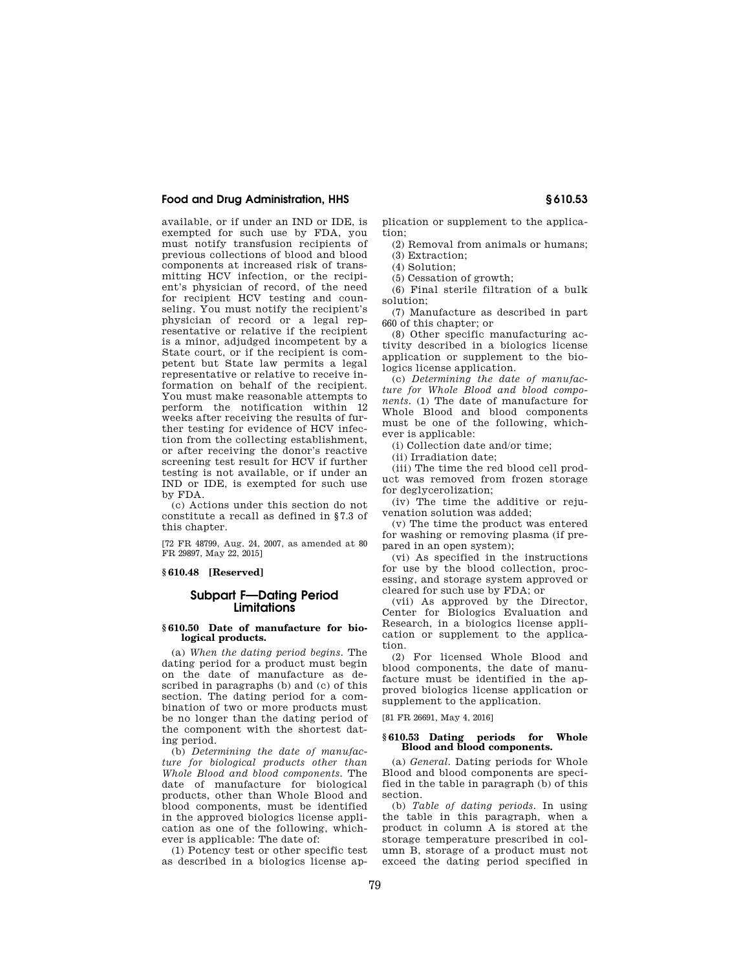available, or if under an IND or IDE, is exempted for such use by FDA, you must notify transfusion recipients of previous collections of blood and blood components at increased risk of transmitting HCV infection, or the recipient's physician of record, of the need for recipient HCV testing and counseling. You must notify the recipient's physician of record or a legal representative or relative if the recipient is a minor, adjudged incompetent by a State court, or if the recipient is competent but State law permits a legal representative or relative to receive information on behalf of the recipient. You must make reasonable attempts to perform the notification within 12 weeks after receiving the results of further testing for evidence of HCV infection from the collecting establishment, or after receiving the donor's reactive screening test result for HCV if further testing is not available, or if under an IND or IDE, is exempted for such use by FDA.

(c) Actions under this section do not constitute a recall as defined in §7.3 of this chapter.

[72 FR 48799, Aug. 24, 2007, as amended at 80 FR 29897, May 22, 2015]

### **§ 610.48 [Reserved]**

### **Subpart F—Dating Period Limitations**

### **§ 610.50 Date of manufacture for biological products.**

(a) *When the dating period begins.* The dating period for a product must begin on the date of manufacture as described in paragraphs (b) and (c) of this section. The dating period for a combination of two or more products must be no longer than the dating period of the component with the shortest dating period.

(b) *Determining the date of manufacture for biological products other than Whole Blood and blood components.* The date of manufacture for biological products, other than Whole Blood and blood components, must be identified in the approved biologics license application as one of the following, whichever is applicable: The date of:

(1) Potency test or other specific test as described in a biologics license application or supplement to the application;

- (2) Removal from animals or humans; (3) Extraction;
- (4) Solution;
- (5) Cessation of growth;

(6) Final sterile filtration of a bulk solution;

(7) Manufacture as described in part 660 of this chapter; or

(8) Other specific manufacturing activity described in a biologics license application or supplement to the biologics license application.

(c) *Determining the date of manufacture for Whole Blood and blood components.* (1) The date of manufacture for Whole Blood and blood components must be one of the following, whichever is applicable:

(i) Collection date and/or time;

(ii) Irradiation date;

(iii) The time the red blood cell product was removed from frozen storage for deglycerolization;

(iv) The time the additive or rejuvenation solution was added;

(v) The time the product was entered for washing or removing plasma (if prepared in an open system);

(vi) As specified in the instructions for use by the blood collection, processing, and storage system approved or cleared for such use by FDA; or

(vii) As approved by the Director, Center for Biologics Evaluation and Research, in a biologics license application or supplement to the application.

(2) For licensed Whole Blood and blood components, the date of manufacture must be identified in the approved biologics license application or supplement to the application.

[81 FR 26691, May 4, 2016]

### **§ 610.53 Dating periods for Whole Blood and blood components.**

(a) *General.* Dating periods for Whole Blood and blood components are specified in the table in paragraph (b) of this section.

(b) *Table of dating periods.* In using the table in this paragraph, when a product in column A is stored at the storage temperature prescribed in column B, storage of a product must not exceed the dating period specified in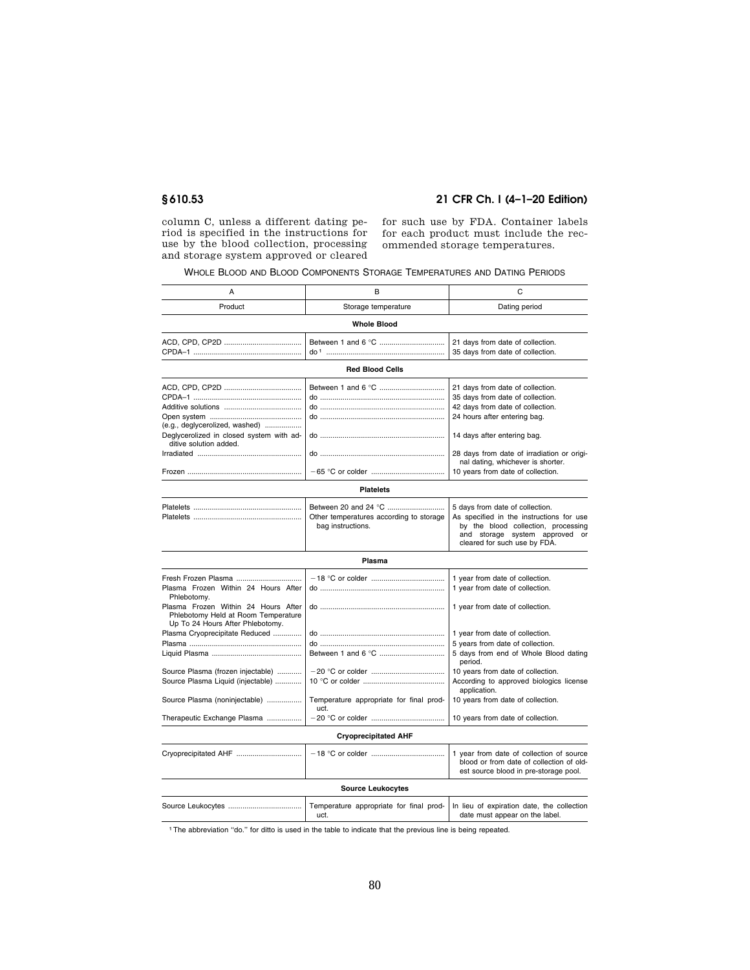# **§ 610.53 21 CFR Ch. I (4–1–20 Edition)**

column C, unless a different dating period is specified in the instructions for use by the blood collection, processing and storage system approved or cleared for such use by FDA. Container labels for each product must include the recommended storage temperatures.

WHOLE BLOOD AND BLOOD COMPONENTS STORAGE TEMPERATURES AND DATING PERIODS

| A                                                                                                              | B                                                                                    | C                                                                                                                                                                                                                                                                                               |  |  |
|----------------------------------------------------------------------------------------------------------------|--------------------------------------------------------------------------------------|-------------------------------------------------------------------------------------------------------------------------------------------------------------------------------------------------------------------------------------------------------------------------------------------------|--|--|
| Product                                                                                                        | Storage temperature                                                                  | Dating period                                                                                                                                                                                                                                                                                   |  |  |
| <b>Whole Blood</b>                                                                                             |                                                                                      |                                                                                                                                                                                                                                                                                                 |  |  |
|                                                                                                                |                                                                                      | 21 days from date of collection.<br>35 days from date of collection.                                                                                                                                                                                                                            |  |  |
| <b>Red Blood Cells</b>                                                                                         |                                                                                      |                                                                                                                                                                                                                                                                                                 |  |  |
| (e.g., deglycerolized, washed)<br>Deglycerolized in closed system with ad-<br>ditive solution added.           | do ……………………………………………………                                                              | 21 days from date of collection.<br>35 days from date of collection.<br>42 days from date of collection.<br>24 hours after entering bag.<br>14 days after entering bag.<br>28 days from date of irradiation or origi-<br>nal dating, whichever is shorter.<br>10 years from date of collection. |  |  |
| <b>Platelets</b>                                                                                               |                                                                                      |                                                                                                                                                                                                                                                                                                 |  |  |
|                                                                                                                | Between 20 and 24 °C<br>Other temperatures according to storage<br>bag instructions. | 5 days from date of collection.<br>As specified in the instructions for use<br>by the blood collection, processing<br>and storage system approved or<br>cleared for such use by FDA.                                                                                                            |  |  |
|                                                                                                                | Plasma                                                                               |                                                                                                                                                                                                                                                                                                 |  |  |
| Fresh Frozen Plasma<br>Plasma Frozen Within 24 Hours After<br>Phlebotomy.                                      |                                                                                      | 1 year from date of collection.<br>1 year from date of collection.                                                                                                                                                                                                                              |  |  |
| Plasma Frozen Within 24 Hours After<br>Phlebotomy Held at Room Temperature<br>Up To 24 Hours After Phlebotomy. |                                                                                      | 1 year from date of collection.                                                                                                                                                                                                                                                                 |  |  |
| Plasma Cryoprecipitate Reduced                                                                                 |                                                                                      | 1 year from date of collection.<br>5 years from date of collection.<br>5 days from end of Whole Blood dating<br>period.                                                                                                                                                                         |  |  |
| Source Plasma (frozen injectable)<br>Source Plasma Liquid (injectable)                                         |                                                                                      | 10 years from date of collection.<br>According to approved biologics license<br>application.                                                                                                                                                                                                    |  |  |
| Source Plasma (noninjectable)                                                                                  | Temperature appropriate for final prod-<br>uct.                                      | 10 years from date of collection.                                                                                                                                                                                                                                                               |  |  |
| Therapeutic Exchange Plasma                                                                                    |                                                                                      | 10 years from date of collection.                                                                                                                                                                                                                                                               |  |  |
|                                                                                                                | <b>Cryoprecipitated AHF</b>                                                          |                                                                                                                                                                                                                                                                                                 |  |  |
| Cryoprecipitated AHF                                                                                           |                                                                                      | 1 year from date of collection of source<br>blood or from date of collection of old-<br>est source blood in pre-storage pool.                                                                                                                                                                   |  |  |
| <b>Source Leukocytes</b>                                                                                       |                                                                                      |                                                                                                                                                                                                                                                                                                 |  |  |
|                                                                                                                | Temperature appropriate for final prod-<br>uct.                                      | In lieu of expiration date, the collection<br>date must appear on the label.                                                                                                                                                                                                                    |  |  |

1The abbreviation ''do.'' for ditto is used in the table to indicate that the previous line is being repeated.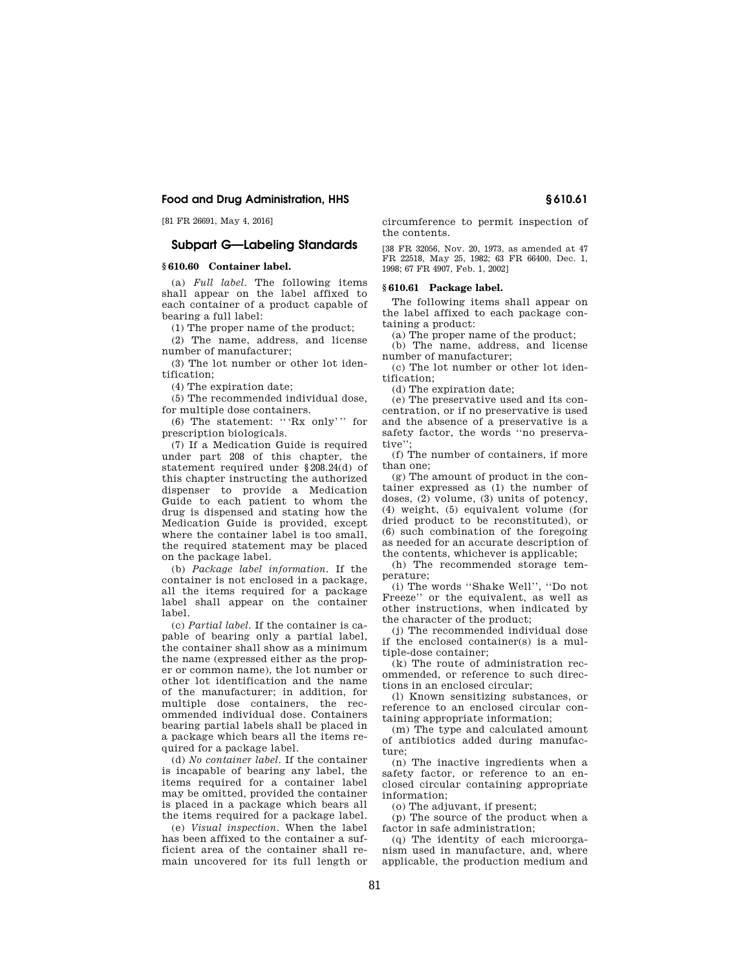[81 FR 26691, May 4, 2016]

# **Subpart G—Labeling Standards**

# **§ 610.60 Container label.**

(a) *Full label.* The following items shall appear on the label affixed to each container of a product capable of bearing a full label:

(1) The proper name of the product;

(2) The name, address, and license number of manufacturer;

(3) The lot number or other lot identification;

(4) The expiration date;

(5) The recommended individual dose, for multiple dose containers.

(6) The statement: '''Rx only''' for prescription biologicals.

(7) If a Medication Guide is required under part 208 of this chapter, the statement required under §208.24(d) of this chapter instructing the authorized dispenser to provide a Medication Guide to each patient to whom the drug is dispensed and stating how the Medication Guide is provided, except where the container label is too small, the required statement may be placed on the package label.

(b) *Package label information.* If the container is not enclosed in a package, all the items required for a package label shall appear on the container label.

(c) *Partial label.* If the container is capable of bearing only a partial label, the container shall show as a minimum the name (expressed either as the proper or common name), the lot number or other lot identification and the name of the manufacturer; in addition, for multiple dose containers, the recommended individual dose. Containers bearing partial labels shall be placed in a package which bears all the items required for a package label.

(d) *No container label.* If the container is incapable of bearing any label, the items required for a container label may be omitted, provided the container is placed in a package which bears all the items required for a package label.

(e) *Visual inspection.* When the label has been affixed to the container a sufficient area of the container shall remain uncovered for its full length or circumference to permit inspection of the contents.

[38 FR 32056, Nov. 20, 1973, as amended at 47 FR 22518, May 25, 1982; 63 FR 66400, Dec. 1, 1998; 67 FR 4907, Feb. 1, 2002]

### **§ 610.61 Package label.**

The following items shall appear on the label affixed to each package containing a product:

(a) The proper name of the product;

(b) The name, address, and license number of manufacturer;

(c) The lot number or other lot identification;

(d) The expiration date;

(e) The preservative used and its concentration, or if no preservative is used and the absence of a preservative is a safety factor, the words ''no preservative'';

(f) The number of containers, if more than one;

(g) The amount of product in the container expressed as (1) the number of doses, (2) volume, (3) units of potency, (4) weight, (5) equivalent volume (for dried product to be reconstituted), or (6) such combination of the foregoing as needed for an accurate description of the contents, whichever is applicable;

(h) The recommended storage temperature;

(i) The words ''Shake Well'', ''Do not Freeze'' or the equivalent, as well as other instructions, when indicated by the character of the product;

(j) The recommended individual dose if the enclosed container(s) is a multiple-dose container;

(k) The route of administration recommended, or reference to such directions in an enclosed circular;

(l) Known sensitizing substances, or reference to an enclosed circular containing appropriate information;

(m) The type and calculated amount of antibiotics added during manufacture;

(n) The inactive ingredients when a safety factor, or reference to an enclosed circular containing appropriate information;

(o) The adjuvant, if present;

(p) The source of the product when a factor in safe administration;

(q) The identity of each microorganism used in manufacture, and, where applicable, the production medium and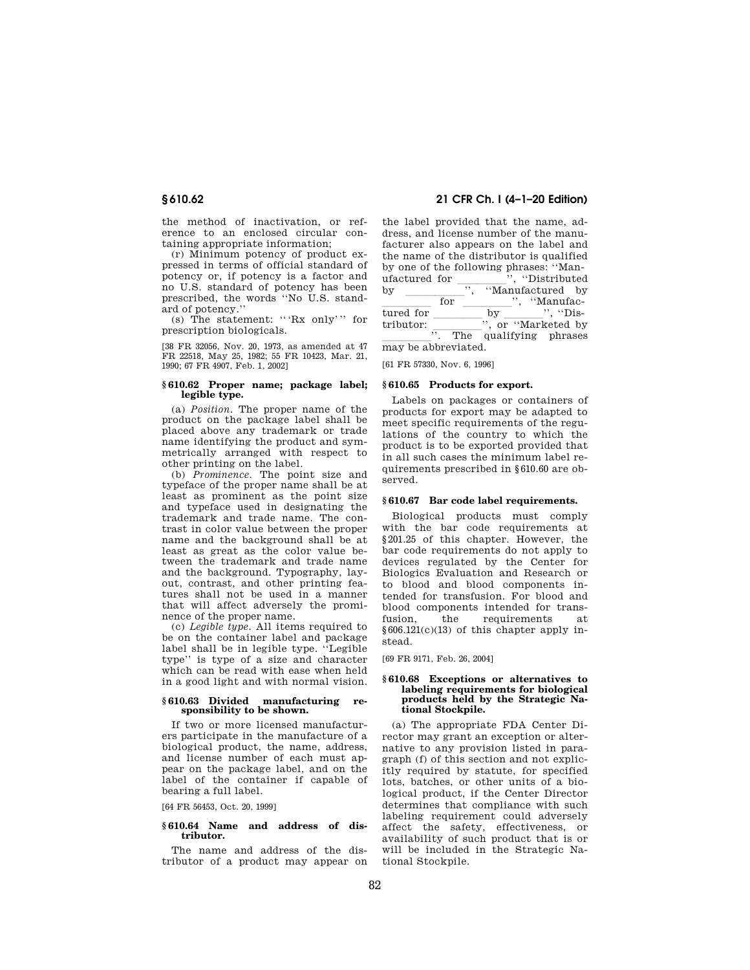the method of inactivation, or reference to an enclosed circular containing appropriate information;

(r) Minimum potency of product expressed in terms of official standard of potency or, if potency is a factor and no U.S. standard of potency has been prescribed, the words ''No U.S. standard of potency.''

(s) The statement: '''Rx only''' for prescription biologicals.

[38 FR 32056, Nov. 20, 1973, as amended at 47 FR 22518, May 25, 1982; 55 FR 10423, Mar. 21, 1990; 67 FR 4907, Feb. 1, 2002]

### **§ 610.62 Proper name; package label; legible type.**

(a) *Position.* The proper name of the product on the package label shall be placed above any trademark or trade name identifying the product and symmetrically arranged with respect to other printing on the label.

(b) *Prominence.* The point size and typeface of the proper name shall be at least as prominent as the point size and typeface used in designating the trademark and trade name. The contrast in color value between the proper name and the background shall be at least as great as the color value between the trademark and trade name and the background. Typography, layout, contrast, and other printing features shall not be used in a manner that will affect adversely the prominence of the proper name.

(c) *Legible type.* All items required to be on the container label and package label shall be in legible type. ''Legible type'' is type of a size and character which can be read with ease when held in a good light and with normal vision.

### **§ 610.63 Divided manufacturing responsibility to be shown.**

If two or more licensed manufacturers participate in the manufacture of a biological product, the name, address, and license number of each must appear on the package label, and on the label of the container if capable of bearing a full label.

[64 FR 56453, Oct. 20, 1999]

## **§ 610.64 Name and address of distributor.**

The name and address of the distributor of a product may appear on

**§ 610.62 21 CFR Ch. I (4–1–20 Edition)** 

the label provided that the name, address, and license number of the manufacturer also appears on the label and the name of the distributor is qualified by one of the following phrases: ''Manufactured for lllll'', ''Distributed by  $\frac{1}{\text{for}}$ , "Manufactured by "Manufactured" tured for for by ", "Manufactured for the state", "Distributor:  $\frac{1}{\sqrt{C}}$ ,  $\frac{1}{\sqrt{C}}$ ,  $\frac{1}{\sqrt{C}}$  arketed by tributor:  $\frac{1}{\sqrt{2\pi}}$ , or "Marketed by", or "Marketed by"  $\frac{1}{\ln 3}$ . The qualifying phrases

may be abbreviated.

[61 FR 57330, Nov. 6, 1996]

### **§ 610.65 Products for export.**

Labels on packages or containers of products for export may be adapted to meet specific requirements of the regulations of the country to which the product is to be exported provided that in all such cases the minimum label requirements prescribed in §610.60 are observed.

### **§ 610.67 Bar code label requirements.**

Biological products must comply with the bar code requirements at §201.25 of this chapter. However, the bar code requirements do not apply to devices regulated by the Center for Biologics Evaluation and Research or to blood and blood components intended for transfusion. For blood and blood components intended for transfusion, the requirements at  $§606.121(c)(13)$  of this chapter apply instead.

[69 FR 9171, Feb. 26, 2004]

### **§ 610.68 Exceptions or alternatives to labeling requirements for biological products held by the Strategic National Stockpile.**

(a) The appropriate FDA Center Director may grant an exception or alternative to any provision listed in paragraph (f) of this section and not explicitly required by statute, for specified lots, batches, or other units of a biological product, if the Center Director determines that compliance with such labeling requirement could adversely affect the safety, effectiveness, or availability of such product that is or will be included in the Strategic National Stockpile.